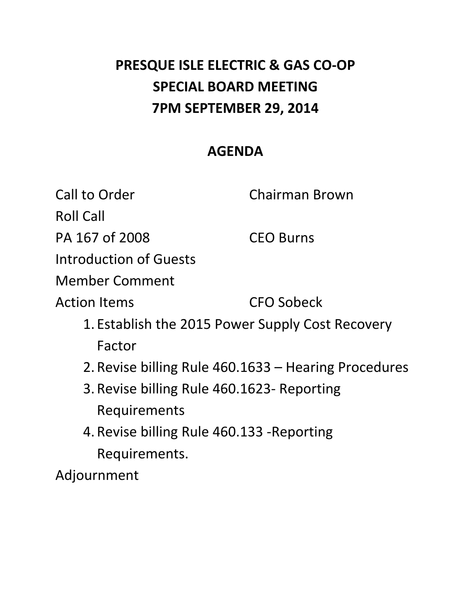# **PRESQUE ISLE ELECTRIC & GAS CO‐OP SPECIAL BOARD MEETING 7PM SEPTEMBER 29, 2014**

# **AGENDA**

Call to Order **Chairman Brown** 

Roll Call

PA 167 of 2008 CEO Burns

Introduction of Guests

Member Comment

**Action Items** 

**CFO Sobeck** 

- 1. Establish the 2015 Power Supply Cost Recovery Factor
- 2. Revise billing Rule 460.1633 Hearing Procedures
- 3. Revise billing Rule 460.1623‐ Reporting Requirements
- 4. Revise billing Rule 460.133 ‐Reporting Requirements.

Adjournment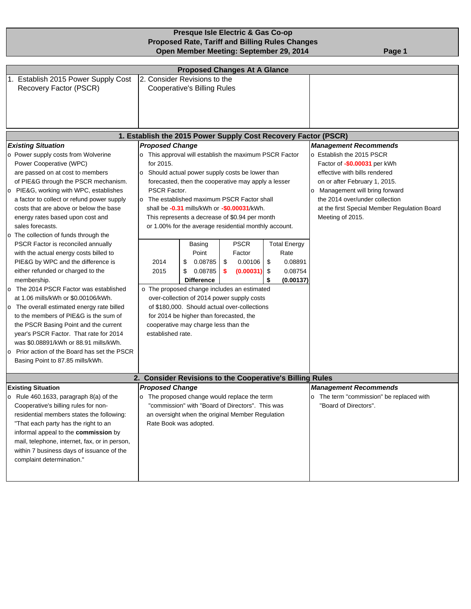| <b>Presque Isle Electric &amp; Gas Co-op</b>           |  |
|--------------------------------------------------------|--|
| <b>Proposed Rate, Tariff and Billing Rules Changes</b> |  |
| Open Member Meeting: September 29, 2014                |  |

Page 1

| <b>Proposed Changes At A Glance</b>                                                                                                                                                                                                                                                                                                                                                                                                                                                                                                                                                                                                                                                                                 |                                                                            |                                                                                 |                                                                                                                                                                                                                                                                                                                                                                                                                                                                                                                                                                                    |                                                                                                                                                                                                                                                                                                                                       |                                                                   |  |  |  |  |  |  |
|---------------------------------------------------------------------------------------------------------------------------------------------------------------------------------------------------------------------------------------------------------------------------------------------------------------------------------------------------------------------------------------------------------------------------------------------------------------------------------------------------------------------------------------------------------------------------------------------------------------------------------------------------------------------------------------------------------------------|----------------------------------------------------------------------------|---------------------------------------------------------------------------------|------------------------------------------------------------------------------------------------------------------------------------------------------------------------------------------------------------------------------------------------------------------------------------------------------------------------------------------------------------------------------------------------------------------------------------------------------------------------------------------------------------------------------------------------------------------------------------|---------------------------------------------------------------------------------------------------------------------------------------------------------------------------------------------------------------------------------------------------------------------------------------------------------------------------------------|-------------------------------------------------------------------|--|--|--|--|--|--|
| 1. Establish 2015 Power Supply Cost<br>Recovery Factor (PSCR)                                                                                                                                                                                                                                                                                                                                                                                                                                                                                                                                                                                                                                                       |                                                                            | 2. Consider Revisions to the<br><b>Cooperative's Billing Rules</b>              |                                                                                                                                                                                                                                                                                                                                                                                                                                                                                                                                                                                    |                                                                                                                                                                                                                                                                                                                                       |                                                                   |  |  |  |  |  |  |
|                                                                                                                                                                                                                                                                                                                                                                                                                                                                                                                                                                                                                                                                                                                     | 1. Establish the 2015 Power Supply Cost Recovery Factor (PSCR)             |                                                                                 |                                                                                                                                                                                                                                                                                                                                                                                                                                                                                                                                                                                    |                                                                                                                                                                                                                                                                                                                                       |                                                                   |  |  |  |  |  |  |
| <b>Existing Situation</b><br>o Power supply costs from Wolverine<br>Power Cooperative (WPC)<br>are passed on at cost to members<br>of PIE&G through the PSCR mechanism.<br>o PIE&G, working with WPC, establishes<br>a factor to collect or refund power supply<br>costs that are above or below the base<br>energy rates based upon cost and<br>sales forecasts.<br>o The collection of funds through the<br>PSCR Factor is reconciled annually<br>with the actual energy costs billed to<br>PIE&G by WPC and the difference is<br>either refunded or charged to the<br>membership.<br>o The 2014 PSCR Factor was established<br>at 1.06 mills/kWh or \$0.00106/kWh.<br>o The overall estimated energy rate billed | <b>Proposed Change</b><br>for 2015.<br><b>PSCR Factor.</b><br>2014<br>2015 | Basing<br>Point<br>\$<br>0.08785<br>0.08785<br>\$<br><b>Difference</b>          | o This approval will establish the maximum PSCR Factor<br>Should actual power supply costs be lower than<br>forecasted, then the cooperative may apply a lesser<br>o The established maximum PSCR Factor shall<br>shall be -0.31 mills/kWh or -\$0.00031/kWh.<br>This represents a decrease of \$0.94 per month<br>or 1.00% for the average residential monthly account.<br><b>PSCR</b><br>Factor<br>\$<br>0.00106<br>\$<br>(0.00031)<br>o The proposed change includes an estimated<br>over-collection of 2014 power supply costs<br>of \$180,000. Should actual over-collections | <b>Management Recommends</b><br>o Establish the 2015 PSCR<br>Factor of -\$0.00031 per kWh<br>effective with bills rendered<br>on or after February 1, 2015.<br>Management will bring forward<br>the 2014 over/under collection<br>at the first Special Member Regulation Board<br>Meeting of 2015.<br>0.08891<br>0.08754<br>(0.00137) |                                                                   |  |  |  |  |  |  |
| to the members of PIE&G is the sum of<br>the PSCR Basing Point and the current<br>year's PSCR Factor. That rate for 2014<br>was \$0.08891/kWh or 88.91 mills/kWh.<br>o Prior action of the Board has set the PSCR<br>Basing Point to 87.85 mills/kWh.<br><b>Existing Situation</b>                                                                                                                                                                                                                                                                                                                                                                                                                                  | established rate.<br><b>Proposed Change</b>                                | for 2014 be higher than forecasted, the<br>cooperative may charge less than the | 2. Consider Revisions to the Cooperative's Billing Rules                                                                                                                                                                                                                                                                                                                                                                                                                                                                                                                           |                                                                                                                                                                                                                                                                                                                                       | <b>Management Recommends</b>                                      |  |  |  |  |  |  |
| o Rule 460.1633, paragraph 8(a) of the<br>Cooperative's billing rules for non-<br>residential members states the following:<br>"That each party has the right to an<br>informal appeal to the commission by<br>mail, telephone, internet, fax, or in person,<br>within 7 business days of issuance of the<br>complaint determination."                                                                                                                                                                                                                                                                                                                                                                              |                                                                            | Rate Book was adopted.                                                          | o The proposed change would replace the term<br>"commission" with "Board of Directors". This was<br>an oversight when the original Member Regulation                                                                                                                                                                                                                                                                                                                                                                                                                               |                                                                                                                                                                                                                                                                                                                                       | o The term "commission" be replaced with<br>"Board of Directors". |  |  |  |  |  |  |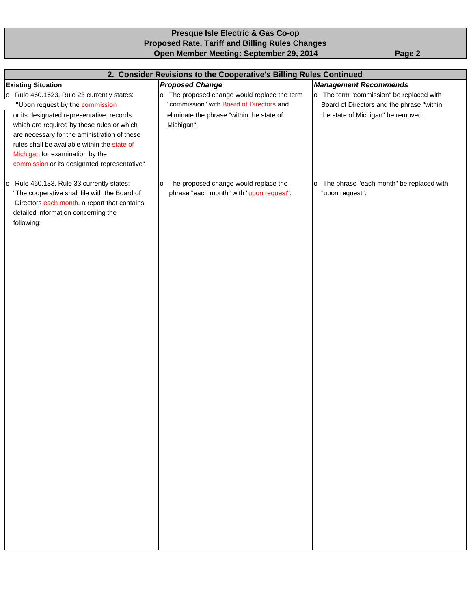#### **Presque Isle Electric & Gas Co-op Proposed Rate, Tariff and Billing Rules Changes Open Member Meeting: September 29, 2014** Page 2

|                                               | 2. Consider Revisions to the Cooperative's Billing Rules Continued |                                            |
|-----------------------------------------------|--------------------------------------------------------------------|--------------------------------------------|
| <b>Existing Situation</b>                     | <b>Proposed Change</b>                                             | <b>Management Recommends</b>               |
| o Rule 460.1623, Rule 23 currently states:    | The proposed change would replace the term<br>o                    | o The term "commission" be replaced with   |
| "Upon request by the commission               | "commission" with Board of Directors and                           | Board of Directors and the phrase "within  |
| or its designated representative, records     | eliminate the phrase "within the state of                          | the state of Michigan" be removed.         |
| which are required by these rules or which    | Michigan".                                                         |                                            |
| are necessary for the aministration of these  |                                                                    |                                            |
| rules shall be available within the state of  |                                                                    |                                            |
| Michigan for examination by the               |                                                                    |                                            |
| commission or its designated representative"  |                                                                    |                                            |
| o Rule 460.133, Rule 33 currently states:     | The proposed change would replace the<br>o                         | o The phrase "each month" be replaced with |
| "The cooperative shall file with the Board of | phrase "each month" with "upon request".                           | "upon request".                            |
| Directors each month, a report that contains  |                                                                    |                                            |
| detailed information concerning the           |                                                                    |                                            |
| following:                                    |                                                                    |                                            |
|                                               |                                                                    |                                            |
|                                               |                                                                    |                                            |
|                                               |                                                                    |                                            |
|                                               |                                                                    |                                            |
|                                               |                                                                    |                                            |
|                                               |                                                                    |                                            |
|                                               |                                                                    |                                            |
|                                               |                                                                    |                                            |
|                                               |                                                                    |                                            |
|                                               |                                                                    |                                            |
|                                               |                                                                    |                                            |
|                                               |                                                                    |                                            |
|                                               |                                                                    |                                            |
|                                               |                                                                    |                                            |
|                                               |                                                                    |                                            |
|                                               |                                                                    |                                            |
|                                               |                                                                    |                                            |
|                                               |                                                                    |                                            |
|                                               |                                                                    |                                            |
|                                               |                                                                    |                                            |
|                                               |                                                                    |                                            |
|                                               |                                                                    |                                            |
|                                               |                                                                    |                                            |
|                                               |                                                                    |                                            |
|                                               |                                                                    |                                            |
|                                               |                                                                    |                                            |
|                                               |                                                                    |                                            |
|                                               |                                                                    |                                            |
|                                               |                                                                    |                                            |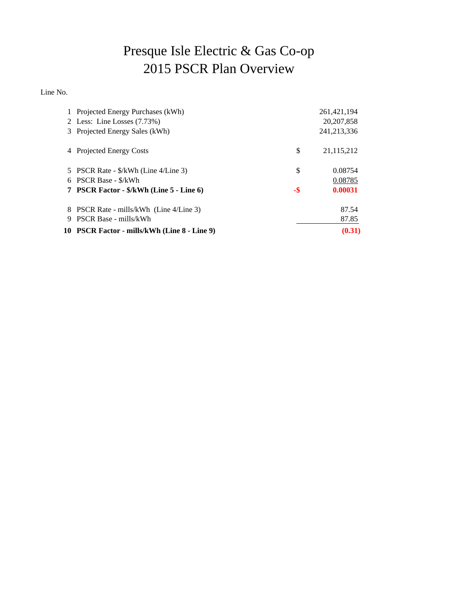# Presque Isle Electric & Gas Co-op 2015 PSCR Plan Overview

Line No.

|   | 1 Projected Energy Purchases (kWh)           |     | 261, 421, 194 |
|---|----------------------------------------------|-----|---------------|
|   | 2 Less: Line Losses (7.73%)                  |     | 20, 207, 858  |
|   | 3 Projected Energy Sales (kWh)               |     | 241, 213, 336 |
|   | <b>Projected Energy Costs</b>                | \$  | 21,115,212    |
|   | 5 PSCR Rate - \$/kWh (Line 4/Line 3)         | \$  | 0.08754       |
|   | 6 PSCR Base - \$/kWh                         |     | 0.08785       |
|   | 7 PSCR Factor - \$/kWh (Line 5 - Line 6)     | -\$ | 0.00031       |
|   | 8 PSCR Rate - mills/kWh (Line 4/Line 3)      |     | 87.54         |
| 9 | PSCR Base - mills/kWh                        |     | 87.85         |
|   | 10 PSCR Factor - mills/kWh (Line 8 - Line 9) |     | (0.31)        |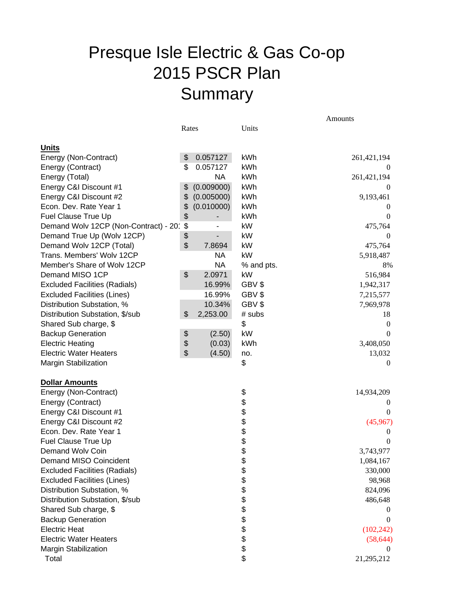# Presque Isle Electric & Gas Co-op 2015 PSCR Plan **Summary**

Amounts

|                                      | Rates |            | Units          |             |
|--------------------------------------|-------|------------|----------------|-------------|
| <b>Units</b>                         |       |            |                |             |
| Energy (Non-Contract)                | \$    | 0.057127   | kWh            | 261,421,194 |
| Energy (Contract)                    | \$    | 0.057127   | kWh            |             |
| Energy (Total)                       |       | <b>NA</b>  | kWh            | 261,421,194 |
| Energy C&I Discount #1               | \$    | (0.009000) | kWh            | $\theta$    |
| Energy C&I Discount #2               | \$    | (0.005000) | kWh            | 9,193,461   |
| Econ. Dev. Rate Year 1               | \$    | (0.010000) | kWh            | $\theta$    |
| Fuel Clause True Up                  | \$    |            | kWh            | $\Omega$    |
| Demand Wolv 12CP (Non-Contract) - 20 | \$    |            | kW             | 475,764     |
| Demand True Up (Wolv 12CP)           | \$    |            | kW             | $\theta$    |
| Demand Wolv 12CP (Total)             | \$    | 7.8694     | kW             | 475,764     |
| Trans. Members' Wolv 12CP            |       | <b>NA</b>  | kW             | 5,918,487   |
| Member's Share of Wolv 12CP          |       | <b>NA</b>  | % and pts.     | 8%          |
| Demand MISO 1CP                      | \$    | 2.0971     | kW             | 516,984     |
| <b>Excluded Facilities (Radials)</b> |       | 16.99%     | GBV \$         | 1,942,317   |
| <b>Excluded Facilities (Lines)</b>   |       | 16.99%     | GBV \$         | 7,215,577   |
| Distribution Substation, %           |       | 10.34%     | GBV \$         | 7,969,978   |
| Distribution Substation, \$/sub      | \$    | 2,253.00   | # subs         | 18          |
| Shared Sub charge, \$                |       |            | \$             | $\theta$    |
| <b>Backup Generation</b>             | \$    | (2.50)     | kW             | $\Omega$    |
| <b>Electric Heating</b>              | \$    | (0.03)     | kWh            | 3,408,050   |
| <b>Electric Water Heaters</b>        | \$    | (4.50)     | no.            | 13,032      |
| <b>Margin Stabilization</b>          |       |            | \$             | 0           |
| <b>Dollar Amounts</b>                |       |            |                |             |
| Energy (Non-Contract)                |       |            | \$             | 14,934,209  |
| Energy (Contract)                    |       |            | \$             | $\theta$    |
| Energy C&I Discount #1               |       |            | \$\$\$\$\$\$\$ | $\theta$    |
| Energy C&I Discount #2               |       |            |                | (45,967)    |
| Econ. Dev. Rate Year 1               |       |            |                | $\theta$    |
| Fuel Clause True Up                  |       |            |                | $\Omega$    |
| Demand Wolv Coin                     |       |            |                | 3,743,977   |
| Demand MISO Coincident               |       |            |                | 1,084,167   |
| <b>Excluded Facilities (Radials)</b> |       |            | \$             | 330,000     |
| <b>Excluded Facilities (Lines)</b>   |       |            | \$<br>\$       | 98,968      |
| Distribution Substation, %           |       |            |                | 824,096     |
| Distribution Substation, \$/sub      |       |            | \$             | 486,648     |
| Shared Sub charge, \$                |       |            | \$             | $\theta$    |
| <b>Backup Generation</b>             |       |            | \$             | $\Omega$    |
| <b>Electric Heat</b>                 |       |            | \$             | (102, 242)  |
| <b>Electric Water Heaters</b>        |       |            | \$             | (58, 644)   |
| <b>Margin Stabilization</b>          |       |            | \$             |             |
| Total                                |       |            | \$             | 21,295,212  |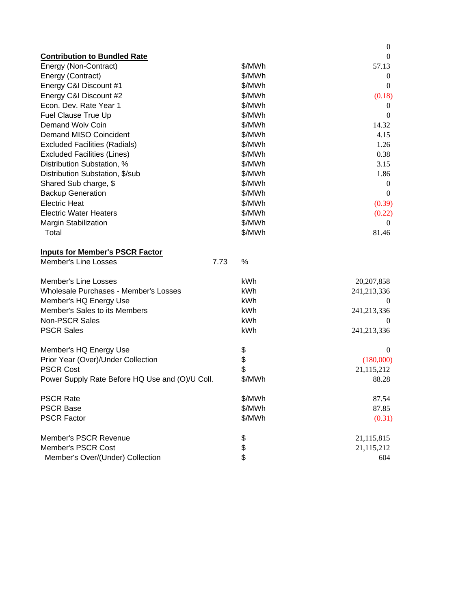|                                                 |        | $\boldsymbol{0}$ |
|-------------------------------------------------|--------|------------------|
| <b>Contribution to Bundled Rate</b>             |        | $\Omega$         |
| Energy (Non-Contract)                           | \$/MWh | 57.13            |
| Energy (Contract)                               | \$/MWh | $\theta$         |
| Energy C&I Discount #1                          | \$/MWh | $\mathbf{0}$     |
| Energy C&I Discount #2                          | \$/MWh | (0.18)           |
| Econ. Dev. Rate Year 1                          | \$/MWh | $\boldsymbol{0}$ |
| Fuel Clause True Up                             | \$/MWh | $\Omega$         |
| Demand Wolv Coin                                | \$/MWh | 14.32            |
| Demand MISO Coincident                          | \$/MWh | 4.15             |
| <b>Excluded Facilities (Radials)</b>            | \$/MWh | 1.26             |
| <b>Excluded Facilities (Lines)</b>              | \$/MWh | 0.38             |
| Distribution Substation, %                      | \$/MWh | 3.15             |
| Distribution Substation, \$/sub                 | \$/MWh | 1.86             |
| Shared Sub charge, \$                           | \$/MWh | $\theta$         |
| <b>Backup Generation</b>                        | \$/MWh | $\mathbf{0}$     |
| <b>Electric Heat</b>                            | \$/MWh | (0.39)           |
| <b>Electric Water Heaters</b>                   | \$/MWh | (0.22)           |
| <b>Margin Stabilization</b>                     | \$/MWh | $\theta$         |
| Total                                           | \$/MWh | 81.46            |
| <b>Inputs for Member's PSCR Factor</b>          |        |                  |
| <b>Member's Line Losses</b><br>7.73             | %      |                  |
| <b>Member's Line Losses</b>                     | kWh    | 20, 207, 858     |
| Wholesale Purchases - Member's Losses           | kWh    | 241,213,336      |
| Member's HQ Energy Use                          | kWh    | $\theta$         |
| Member's Sales to its Members                   | kWh    | 241,213,336      |
| Non-PSCR Sales                                  | kWh    | $\theta$         |
| <b>PSCR Sales</b>                               | kWh    | 241,213,336      |
| Member's HQ Energy Use                          | \$     | $\theta$         |
| Prior Year (Over)/Under Collection              | \$     | (180,000)        |
| <b>PSCR Cost</b>                                | \$     | 21,115,212       |
| Power Supply Rate Before HQ Use and (O)/U Coll. | \$/MWh | 88.28            |
| <b>PSCR Rate</b>                                | \$/MWh | 87.54            |
| <b>PSCR Base</b>                                | \$/MWh | 87.85            |
| <b>PSCR Factor</b>                              | \$/MWh | (0.31)           |
| Member's PSCR Revenue                           | \$     | 21,115,815       |
| <b>Member's PSCR Cost</b>                       | \$     | 21,115,212       |
| Member's Over/(Under) Collection                | \$     | 604              |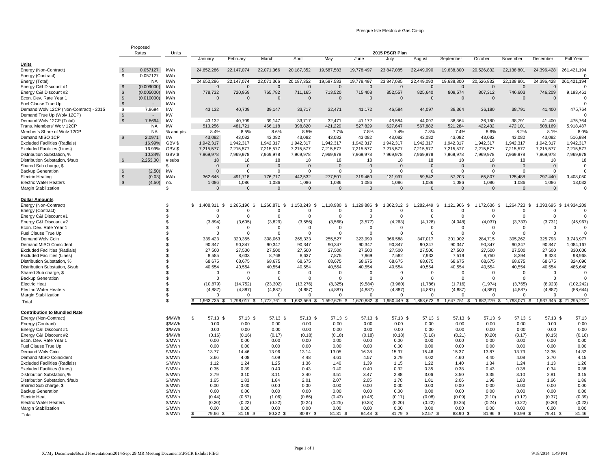#### Presque Isle Electric & Gas Co-op

|                                                              |                       | Proposed                 |                  |                      |                      |                      |                      |                     |                     |                        |                       |                     |                     |                     |                     |                                    |
|--------------------------------------------------------------|-----------------------|--------------------------|------------------|----------------------|----------------------|----------------------|----------------------|---------------------|---------------------|------------------------|-----------------------|---------------------|---------------------|---------------------|---------------------|------------------------------------|
|                                                              |                       | Rates                    | Units            | January              | February             | March                | April                | May                 | June                | 2015 PSCR Plan<br>July | August                | September           | October             | November            | December            | Full Year                          |
| <b>Units</b>                                                 |                       |                          |                  |                      |                      |                      |                      |                     |                     |                        |                       |                     |                     |                     |                     |                                    |
| Energy (Non-Contract)<br>Energy (Contract)                   | $\mathcal{S}$<br>S.   | 0.057127<br>0.057127     | kWh<br>kWh       | 24,652,286           | 22,147,074           | 22,071,366           | 20,187,352           | 19,587,583          | 19,778,497          | 23,847,085             | 22,449,090            | 19,638,800          | 20,526,832          | 22,138,801          |                     | 24,396,428 261,421,194<br>$\Omega$ |
| Energy (Total)                                               |                       | <b>NA</b>                | <b>kWh</b>       | 24,652,286           | 22,147,074           | 22,071,366           | 20,187,352           | 19,587,583          | 19,778,497          | 23,847,085             | 22,449,090            | 19,638,800          | 20,526,832          | 22,138,801          | 24,396,428          | 261.421.194                        |
| Energy C&I Discount #1                                       | $\sqrt[3]{5}$         | (0.009000)               | kWh              | $\Omega$             | $\Omega$             | $\Omega$             | $\Omega$             | $\Omega$            | $\Omega$            | $\Omega$               | $\Omega$              | $\Omega$            | $\Omega$            | $\Omega$            | $\Omega$            | $\Omega$                           |
| Energy C&I Discount #2<br>Econ. Dev. Rate Year 1             | - \$<br>$\mathcal{S}$ | (0.005000)<br>(0.010000) | kWh<br>kWh       | 778,732<br>$\Omega$  | 720,959<br>$\Omega$  | 765,782<br>$\Omega$  | 711,165<br>$\Omega$  | 713,520<br>$\Omega$ | 715,408<br>$\Omega$ | 852,557<br>$\Omega$    | 825,640<br>$\Omega$   | 809,574<br>$\Omega$ | 807,312<br>$\Omega$ | 746,603<br>$\Omega$ | 746,209<br>$\Omega$ | 9,193,461<br>$\Omega$              |
| Fuel Clause True Up                                          | \$                    |                          | kWh              |                      |                      |                      |                      |                     |                     |                        |                       |                     |                     |                     |                     | $\Omega$                           |
| Demand Wolv 12CP (Non-Contract) - 2015                       | \$                    | 7.8694                   | kW               | 43,132               | 40,709               | 39,147               | 33,717               | 32,471              | 41,172              | 46,584                 | 44,097                | 38,364              | 36,180              | 38,791              | 41,400              | 475,764                            |
| Demand True Up (Wolv 12CP)                                   | $\mathcal{S}$         | $\sim$                   | kW               |                      |                      |                      |                      |                     |                     |                        |                       |                     |                     |                     |                     | $\Omega$                           |
| Demand Wolv 12CP (Total)                                     | \$                    | 7.8694                   | kW               | 43,132               | 40,709               | 39,147               | 33,717               | 32,471              | 41,172              | 46,584                 | 44,097                | 38,364              | 36,180              | 38,791              | 41,400              | 475,764                            |
| Trans. Members' Wolv 12CP                                    |                       | <b>NA</b>                | kW               | 513,256              | 481,721              | 456,118              | 398,820              | 421,229             | 527,829             | 627,647                | 567,882               | 521,284             | 422.432             | 472,101             | 508,169             | 5,918,487                          |
| Member's Share of Wolv 12CP                                  |                       | <b>NA</b>                | % and pts.       | 8.4%                 | 8.5%                 | 8.6%                 | 8.5%                 | 7.7%                | 7.8%                | 7.4%                   | 7.8%                  | 7.4%                | 8.6%                | 8.2%                | 8.1%                | 8.0%                               |
| Demand MISO 1CP                                              | $\mathbf{s}$          | 2.0971                   | kW               | 43.082               | 43.082               | 43,082               | 43.082               | 43.082              | 43,082              | 43.082                 | 43.082                | 43.082              | 43.082              | 43.082              | 43,082              | 516.984                            |
| <b>Excluded Facilities (Radials)</b>                         |                       | 16.99%                   | GBV \$           | 1,942,317            | 1,942,317            | 1,942,317            | 1,942,317            | 1,942,317           | 1,942,317           | 1,942,317              | 1,942,317             | 1,942,317           | 1,942,317           | 1,942,317           | 1,942,317           | 1,942,317                          |
| <b>Excluded Facilities (Lines)</b>                           |                       | 16.99%                   | GBV \$           | 7,215,577            | 7,215,577            | 7,215,577            | 7,215,577            | 7,215,577           | 7,215,577           | 7,215,577              | 7,215,577             | 7,215,577           | 7,215,577           | 7,215,577           | 7,215,577           | 7,215,577                          |
| Distribution Substation, %                                   |                       | 10.34%                   | GBV \$<br># subs | 7,969,978<br>18      | 7,969,978<br>18      | 7,969,978<br>18      | 7,969,978<br>18      | 7,969,978<br>18     | 7,969,978<br>18     | 7,969,978<br>18        | 7,969,978<br>18       | 7,969,978<br>18     | 7,969,978<br>18     | 7,969,978<br>18     | 7,969,978<br>18     | 7,969,978<br>18                    |
| Distribution Substation, \$/sub<br>Shared Sub charge, \$     | $\sqrt[6]{3}$         | 2,253.00                 | \$               | $\Omega$             | $\Omega$             | $\Omega$             | $\Omega$             | $\Omega$            | $\Omega$            | $\Omega$               | $\Omega$              | $\Omega$            | $\Omega$            | $\Omega$            | $\mathbf{0}$        | $\Omega$                           |
| <b>Backup Generation</b>                                     | $\sqrt{3}$            | (2.50)                   | kW               | $\Omega$             | $\Omega$             | $\Omega$             | $\Omega$             | $\Omega$            | $\Omega$            | $\Omega$               | $\Omega$              | $\Omega$            | $\Omega$            | $\mathbf{0}$        | $\Omega$            | $\Omega$                           |
| <b>Electric Heating</b>                                      | $\sqrt{3}$            | (0.03)                   | kWh              | 362,645              | 491,718              | 776,717              | 442,532              | 277,501             | 319,460             | 131,997                | 59,542                | 57,203              | 65,807              | 125,488             | 297,440             | 3,408,050                          |
| <b>Electric Water Heaters</b>                                | $\mathfrak{s}$        | (4.50)                   | no.              | 1,086                | 1,086                | 1,086                | 1,086                | 1,086               | 1,086               | 1,086                  | 1,086                 | 1.086               | 1,086               | 1,086               | 1,086               | 13,032                             |
| <b>Margin Stabilization</b>                                  |                       |                          | \$               | $\Omega$             | $\Omega$             | $\mathcal{C}$        | $\Omega$             | $\Omega$            | $\Omega$            | $\Omega$               | $\Omega$              | $\Omega$            | $\Omega$            | $\Omega$            | $\mathbf 0$         | $\Omega$                           |
|                                                              |                       |                          |                  |                      |                      |                      |                      |                     |                     |                        |                       |                     |                     |                     |                     |                                    |
| <b>Dollar Amounts</b>                                        |                       |                          | S.               |                      | 1.265.196 \$         | 1.260.871 \$         | 1.153.243 \$         | 1.118.980 \$        | 1.129.886 \$        | 1.362.312 \$           | 1.282.449<br><b>S</b> | 1.121.906 \$        | 1.172.636 \$        | 1.264.723 \$        | .393.695 \$         | 14.934.209                         |
| Energy (Non-Contract)                                        |                       |                          | S                | $$1,408,311$ \$<br>n | $\Omega$             | $\Omega$             | $\Omega$             | 0                   | $\Omega$            | $\Omega$               | $\Omega$              | $\Omega$            | $\Omega$            | 0                   | $\Omega$            | $\Omega$                           |
| Energy (Contract)<br>Energy C&I Discount #1                  |                       |                          | \$               | $\Omega$             | $\Omega$             | $\Omega$             | $\Omega$             | $\Omega$            | $\Omega$            | $\Omega$               | $\Omega$              | $\Omega$            | $\Omega$            | $\Omega$            | $\Omega$            | $\Omega$                           |
| Energy C&I Discount #2                                       |                       |                          | \$               | (3,894)              | (3,605)              | (3,829)              | (3, 556)             | (3, 568)            | (3, 577)            | (4,263)                | (4, 128)              | (4,048)             | (4,037)             | (3,733)             | (3,731)             | (45, 967)                          |
| Econ. Dev. Rate Year 1                                       |                       |                          | \$.              | $\Omega$             | $\Omega$             | $\mathbf 0$          | $\Omega$             | $\Omega$            | $\mathbf 0$         | $\Omega$               | $\Omega$              | $\mathbf{0}$        | $\Omega$            | $\Omega$            | $\mathbf 0$         | $\Omega$                           |
| Fuel Clause True Up                                          |                       |                          | \$.              | $\Omega$             | $\Omega$             | $\Omega$             | $\Omega$             | $\overline{0}$      | $\Omega$            | $\Omega$               | $\Omega$              | $\Omega$            | $\Omega$            | $\overline{0}$      | $\Omega$            | $\Omega$                           |
| Demand Wolv Coin                                             |                       |                          | \$.              | 339.423              | 320,355              | 308.063              | 265.333              | 255.527             | 323.999             | 366.588                | 347.017               | 301.902             | 284.715             | 305.262             | 325.793             | 3.743.977                          |
| Demand MISO Coincident                                       |                       |                          | S                | 90,347               | 90,347               | 90,347               | 90,347               | 90,347              | 90,347              | 90,347                 | 90,347                | 90,347              | 90,347              | 90,347              | 90,347              | 1,084,167                          |
| <b>Excluded Facilities (Radials)</b>                         |                       |                          | \$.              | 27,500               | 27,500               | 27,500               | 27,500               | 27,500              | 27,500              | 27,500                 | 27,500                | 27,500              | 27,500              | 27,500              | 27,500              | 330,000                            |
| <b>Excluded Facilities (Lines)</b>                           |                       |                          | \$.              | 8,585                | 8,633                | 8,768                | 8,637                | 7,875               | 7,969               | 7,582                  | 7,933                 | 7,519               | 8,750               | 8,394               | 8,323               | 98,968                             |
| Distribution Substation, %                                   |                       |                          | S                | 68,675               | 68,675               | 68,675               | 68,675               | 68,675              | 68,675              | 68,675                 | 68,675                | 68,675              | 68,675              | 68,675              | 68,675              | 824,096                            |
| Distribution Substation, \$/sub                              |                       |                          | \$.              | 40,554               | 40,554               | 40,554               | 40,554               | 40,554              | 40,554              | 40,554                 | 40,554                | 40,554              | 40,554              | 40,554              | 40,554              | 486,648                            |
| Shared Sub charge, \$                                        |                       |                          | \$.              | $\Omega$             | $\mathbf 0$          | $\mathbf 0$          | $\Omega$             | $\overline{0}$      | $\Omega$            | $\Omega$               | $\overline{0}$        | $\Omega$            | $\Omega$            | $\mathbf 0$         | $\mathbf 0$         | $\Omega$                           |
| <b>Backup Generation</b>                                     |                       |                          | \$               | $\Omega$             | $\Omega$             | $\Omega$             | $\Omega$             | $\Omega$            | $\Omega$            | $\Omega$               | $\overline{0}$        | $\Omega$            | $\Omega$            | $\mathbf{0}$        | $\Omega$            | $\Omega$                           |
| <b>Electric Heat</b>                                         |                       |                          | \$<br>\$.        | (10, 879)            | (14, 752)<br>(4,887) | (23, 302)<br>(4,887) | (13, 276)<br>(4,887) | (8,325)<br>(4,887)  | (9,584)<br>(4,887)  | (3,960)<br>(4,887)     | (1,786)               | (1,716)<br>(4,887)  | (1,974)<br>(4,887)  | (3,765)<br>(4, 887) | (8,923)             | (102, 242)<br>(58, 644)            |
| <b>Electric Water Heaters</b><br><b>Margin Stabilization</b> |                       |                          | \$.              | (4,887)              |                      | $\Omega$             | $\Omega$             | $\Omega$            | $\Omega$            | $\Omega$               | (4,887)<br>$\Omega$   | $\Omega$            |                     | $\Omega$            | (4,887)<br>$\Omega$ |                                    |
| Total                                                        |                       |                          | \$               | Š.<br>1,963,735 \$   | 1,798,017 \$         | 1,772,761 \$         | 1,632,569 \$         | 1,592,679 \$        | 1,670,882 \$        | 1,950,449 \$           | 1,853,673 \$          | $1,647,751$ \$      | 1,682,279 \$        | 1,793,071 \$        |                     | 1,937,345 \$ 21,295,212            |
| <b>Contribution to Bundled Rate</b>                          |                       |                          |                  |                      |                      |                      |                      |                     |                     |                        |                       |                     |                     |                     |                     |                                    |
| Energy (Non-Contract)                                        |                       |                          | \$/MWh           | s.<br>57.13 \$       | $57.13$ \$           | 57.13 \$             | 57.13 \$             | 57.13 \$            | 57.13 \$            | 57.13 \$               | 57.13 \$              | 57.13 \$            | 57.13 \$            | 57.13 \$            | 57.13 \$            | 57.13                              |
| Energy (Contract)                                            |                       |                          | \$/MWh           | 0.00                 | 0.00                 | 0.00                 | 0.00                 | 0.00                | 0.00                | 0.00                   | 0.00                  | 0.00                | 0.00                | 0.00                | 0.00                | 0.00                               |
| Energy C&I Discount #1                                       |                       |                          | \$/MWh           | 0.00                 | 0.00                 | 0.00                 | 0.00                 | 0.00                | 0.00                | 0.00                   | 0.00                  | 0.00                | 0.00                | 0.00                | 0.00                | 0.00                               |
| Energy C&I Discount #2                                       |                       |                          | \$/MWh           | (0.16)               | (0.16)               | (0.17)               | (0.18)               | (0.18)              | (0.18)              | (0.18)                 | (0.18)                | (0.21)              | (0.20)              | (0.17)              | (0.15)              | (0.18)                             |
| Econ. Dev. Rate Year 1                                       |                       |                          | \$/MWh           | 0.00                 | 0.00                 | 0.00                 | 0.00                 | 0.00                | 0.00                | 0.00                   | 0.00                  | 0.00                | 0.00                | 0.00                | 0.00                | 0.00                               |
| Fuel Clause True Up                                          |                       |                          | \$/MWh           | 0.00                 | 0.00                 | 0.00                 | 0.00                 | 0.00                | 0.00                | 0.00                   | 0.00                  | 0.00                | 0.00                | 0.00                | 0.00                | 0.00                               |
| Demand Wolv Coin                                             |                       |                          | \$/MWh           | 13.77                | 14.46                | 13.96                | 13.14                | 13.05               | 16.38               | 15.37                  | 15.46                 | 15.37               | 13.87               | 13.79               | 13.35               | 14.32                              |
| Demand MISO Coincident                                       |                       |                          | \$/MWh           | 3.66                 | 4.08                 | 4.09                 | 4.48                 | 4.61                | 4.57                | 3.79                   | 4.02                  | 4.60                | 4.40                | 4.08                | 3.70                | 4.15                               |
| <b>Excluded Facilities (Radials)</b>                         |                       |                          | \$/MWh           | 1.12                 | 1.24                 | 1.25                 | 1.36                 | 1.40                | 1.39                | 1.15                   | 1.22                  | 1.40                | 1.34                | 1.24                | 1.13                | 1.26                               |
| <b>Excluded Facilities (Lines)</b>                           |                       |                          | \$/MWh           | 0.35                 | 0.39                 | 0.40                 | 0.43                 | 0.40                | 0.40                | 0.32                   | 0.35                  | 0.38                | 0.43                | 0.38                | 0.34                | 0.38                               |
| Distribution Substation, %                                   |                       |                          | \$/MWh           | 2.79                 | 3.10                 | 3.11                 | 3.40                 | 3.51                | 3.47                | 2.88                   | 3.06                  | 3.50                | 3.35                | 3.10                | 2.81                | 3.15                               |
| Distribution Substation, \$/sub                              |                       |                          | \$/MWh           | 1.65                 | 1.83                 | 1.84                 | 2.01                 | 2.07                | 2.05                | 1.70                   | 1.81                  | 2.06                | 1.98                | 1.83                | 1.66                | 1.86                               |
| Shared Sub charge, \$                                        |                       |                          | \$/MWh           | 0.00                 | 0.00                 | 0.00                 | 0.00                 | 0.00                | 0.00                | 0.00                   | 0.00                  | 0.00                | 0.00                | 0.00                | 0.00                | 0.00                               |
| <b>Backup Generation</b><br><b>Electric Heat</b>             |                       |                          | \$/MWh<br>\$/MWh | 0.00<br>(0.44)       | 0.00<br>(0.67)       | 0.00<br>(1.06)       | 0.00<br>(0.66)       | 0.00<br>(0.43)      | 0.00<br>(0.48)      | 0.00<br>(0.17)         | 0.00<br>(0.08)        | 0.00<br>(0.09)      | 0.00<br>(0.10)      | 0.00<br>(0.17)      | 0.00<br>(0.37)      | 0.00<br>(0.39)                     |
| <b>Electric Water Heaters</b>                                |                       |                          | \$/MWh           | (0.20)               | (0.22)               | (0.22)               | (0.24)               | (0.25)              | (0.25)              | (0.20)                 | (0.22)                | (0.25)              | (0.24)              | (0.22)              | (0.20)              | (0.22)                             |
| <b>Margin Stabilization</b>                                  |                       |                          | \$/MWh           | 0.00                 | 0.00                 | 0.00                 | 0.00                 | 0.00                | 0.00                | 0.00                   | 0.00                  | 0.00                | 0.00                | 0.00                | 0.00                | 0.00                               |
| Total                                                        |                       |                          | \$/MWh           | 79.66                | $81.19$ \$           | 80.32 \$             | 80.87 \$             | $81.31$ \$          | 84.48 \$            | 81.79 \$               | 82.57 \$              | 83.90 \$            | 81.96 \$            | 80.99 \$            | 79.41 \$            | 81.46                              |
|                                                              |                       |                          |                  |                      |                      |                      |                      |                     |                     |                        |                       |                     |                     |                     |                     |                                    |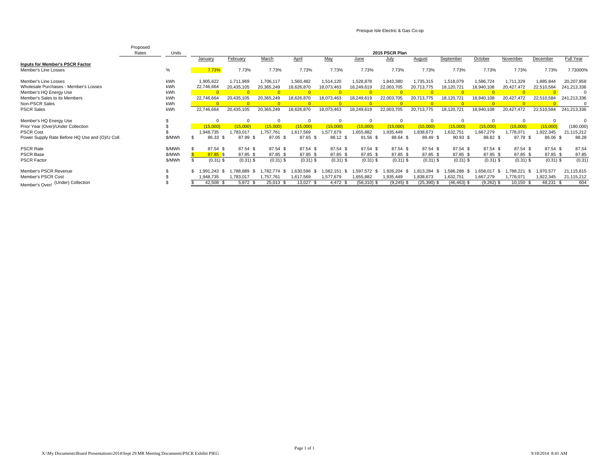#### Presque Isle Electric & Gas Co-op

|                                                 | Proposed |        |                    |             |             |             |             |                |                |               |                |              |             |             |             |
|-------------------------------------------------|----------|--------|--------------------|-------------|-------------|-------------|-------------|----------------|----------------|---------------|----------------|--------------|-------------|-------------|-------------|
|                                                 | Rates    | Units  |                    |             |             |             |             |                | 2015 PSCR Plan |               |                |              |             |             |             |
|                                                 |          |        | January            | February    | March       | April       | May         | June           | <u>July</u>    | August        | September      | October      | November    | December    | Full Year   |
| Inputs for Member's PSCR Factor                 |          |        |                    |             |             |             |             |                |                |               |                |              |             |             |             |
| Member's Line Losses                            |          | %      | 7.73%              | 7.73%       | 7.73%       | 7.73%       | 7.73%       | 7.73%          | 7.73%          | 7.73%         | 7.73%          | 7.73%        | 7.73%       | 7.73%       | 7.73000%    |
| Member's Line Losses                            |          | kWh    | 1,905,622          | 1,711,969   | 1,706,117   | 1,560,482   | 1,514,120   | 1,528,878      | 1,843,380      | 1,735,315     | 1,518,079      | 1,586,724    | 1,711,329   | 1,885,844   | 20,207,858  |
| Wholesale Purchases - Member's Losses           |          | kWh    | 22,746,664         | 20,435,105  | 20,365,249  | 18,626,870  | 18,073,463  | 18,249,619     | 22,003,705     | 20,713,775    | 18,120,721     | 18,940,108   | 20,427,472  | 22,510,584  | 241,213,336 |
| Member's HQ Energy Use                          |          | kWh    |                    |             |             |             |             |                |                |               |                |              |             |             |             |
| Member's Sales to its Members                   |          | kWh    | 22,746,664         | 20,435,105  | 20,365,249  | 18,626,870  | 18,073,463  | 18,249,619     | 22,003,705     | 20.713.775    | 18,120,721     | 18,940,108   | 20,427,472  | 22,510,584  | 241,213,336 |
| Non-PSCR Sales                                  |          | kWh    |                    |             |             |             |             |                |                |               |                |              |             |             | $\Omega$    |
| <b>PSCR Sales</b>                               |          | kWh    | 22,746,664         | 20,435,105  | 20,365,249  | 18,626,870  | 18,073,463  | 18,249,619     | 22,003,705     | 20.713.775    | 18,120,721     | 18,940,108   | 20,427,472  | 22,510,584  | 241,213,336 |
| Member's HQ Energy Use                          |          |        |                    |             |             |             |             |                |                | $\Omega$      |                |              | 0           | 0           |             |
| Prior Year (Over)/Under Collection              |          |        | (15,000)           | (15,000)    | (15,000)    | (15,000)    | (15,000)    | (15,000)       | (15,000)       | (15,000)      | (15,000)       | (15,000)     | (15,000)    | (15,000)    | (180,000)   |
| <b>PSCR Cost</b>                                |          |        | 1,948,735          | ,783,017    | 1,757,761   | 1,617,569   | 1,577,679   | 655,882        | .935,449       | 1,838,673     | 1,632,751      | 1,667,279    | 1,778,071   | 1,922,345   | 21,115,212  |
| Power Supply Rate Before HQ Use and (O)/U Coll. |          | \$/MWh | 86.33 \$           | 87.99 \$    | 87.05 \$    | 87.65 \$    | 88.12 \$    | 91.56 \$       | 88.64 \$       | 89.49 \$      | $90.93$ \$     | 88.82 \$     | 87.78 \$    | 86.06 \$    | 88.28       |
| <b>PSCR Rate</b>                                |          | \$/MWh | 87.54 \$           | 87.54 \$    | 87.54 \$    | 87.54 \$    | 87.54 \$    | 87.54 \$       | 87.54 \$       | 87.54 \$      | 87.54 \$       | 87.54 \$     | 87.54 \$    | 87.54 \$    | 87.54       |
| <b>PSCR Base</b>                                |          | \$/MWh | $87.85$ \$         | 87.85 \$    | 87.85 \$    | 87.85 \$    | 87.85 \$    | 87.85 \$       | 87.85 \$       | 87.85 \$      | 87.85 \$       | 87.85 \$     | 87.85 \$    | 87.85 \$    | 87.85       |
| <b>PSCR Factor</b>                              |          | \$/MWh | $(0.31)$ \$        | $(0.31)$ \$ | $(0.31)$ \$ | $(0.31)$ \$ | $(0.31)$ \$ | $(0.31)$ \$    | $(0.31)$ \$    | $(0.31)$ \$   | $(0.31)$ \$    | $(0.31)$ \$  | $(0.31)$ \$ | $(0.31)$ \$ | (0.31)      |
| Member's PSCR Revenue                           |          |        | $.243$ \$<br>1.991 | 1.788.889   | \$4.782,774 | 1,630,596   | .582.15'    | .597.572 \$    | 926,204 \$     | 1,813,284 \$  | 586,288 \$     | 1,658,017    | ,788,221    | ,970,577    | 21,115,815  |
| Member's PSCR Cost                              |          |        | 1,948,735          | 1,783,017   | 1.757.761   | 1,617,569   | 1,577,679   | 1,655,882      | .935,449       | 1,838,673     | 1,632,751      | 1,667,279    | 1,778,071   | 1,922,345   | 21,115,212  |
| Member's Over/ (Under) Collection               |          |        | 42,508             | 5.872 \$    | 25.013 \$   | 13,027      | 4,472 \$    | $(58, 310)$ \$ | $(9,245)$ \$   | $(25,390)$ \$ | $(46, 463)$ \$ | $(9,262)$ \$ | 10,150 \$   | 48,231      | 604         |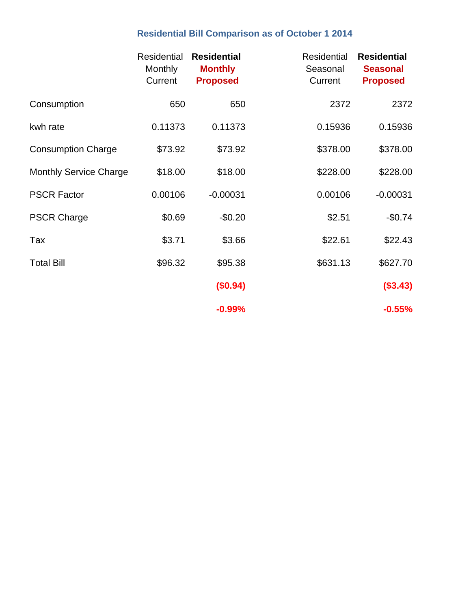# **Residential Bill Comparison as of October 1 2014**

|                               | <b>Residential</b><br><b>Monthly</b><br>Current | <b>Residential</b><br><b>Monthly</b><br><b>Proposed</b> | <b>Residential</b><br>Seasonal<br>Current | <b>Residential</b><br><b>Seasonal</b><br><b>Proposed</b> |
|-------------------------------|-------------------------------------------------|---------------------------------------------------------|-------------------------------------------|----------------------------------------------------------|
| Consumption                   | 650                                             | 650                                                     | 2372                                      | 2372                                                     |
| kwh rate                      | 0.11373                                         | 0.11373                                                 | 0.15936                                   | 0.15936                                                  |
| <b>Consumption Charge</b>     | \$73.92                                         | \$73.92                                                 | \$378.00                                  | \$378.00                                                 |
| <b>Monthly Service Charge</b> | \$18.00                                         | \$18.00                                                 | \$228.00                                  | \$228.00                                                 |
| <b>PSCR Factor</b>            | 0.00106                                         | $-0.00031$                                              | 0.00106                                   | $-0.00031$                                               |
| <b>PSCR Charge</b>            | \$0.69                                          | $-$0.20$                                                | \$2.51                                    | $-$0.74$                                                 |
| Tax                           | \$3.71                                          | \$3.66                                                  | \$22.61                                   | \$22.43                                                  |
| <b>Total Bill</b>             | \$96.32                                         | \$95.38                                                 | \$631.13                                  | \$627.70                                                 |
|                               |                                                 | (\$0.94)                                                |                                           | (\$3.43)                                                 |
|                               |                                                 | $-0.99%$                                                |                                           | $-0.55%$                                                 |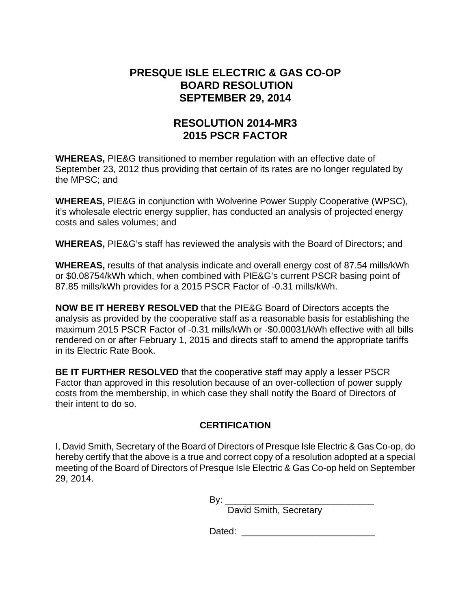# **PRESQUE ISLE ELECTRIC & GAS CO-OP BOARD RESOLUTION SEPTEMBER 29, 2014**

# **RESOLUTION 2014-MR3 2015 PSCR FACTOR**

**WHEREAS,** PIE&G transitioned to member regulation with an effective date of September 23, 2012 thus providing that certain of its rates are no longer regulated by the MPSC; and

**WHEREAS,** PIE&G in conjunction with Wolverine Power Supply Cooperative (WPSC), it's wholesale electric energy supplier, has conducted an analysis of projected energy costs and sales volumes; and

**WHEREAS,** PIE&G's staff has reviewed the analysis with the Board of Directors; and

**WHEREAS,** results of that analysis indicate and overall energy cost of 87.54 mills/kWh or \$0.08754/kWh which, when combined with PIE&G's current PSCR basing point of 87.85 mills/kWh provides for a 2015 PSCR Factor of -0.31 mills/kWh.

**NOW BE IT HEREBY RESOLVED** that the PIE&G Board of Directors accepts the analysis as provided by the cooperative staff as a reasonable basis for establishing the maximum 2015 PSCR Factor of -0.31 mills/kWh or -\$0.00031/kWh effective with all bills rendered on or after February 1, 2015 and directs staff to amend the appropriate tariffs in its Electric Rate Book.

**BE IT FURTHER RESOLVED** that the cooperative staff may apply a lesser PSCR Factor than approved in this resolution because of an over-collection of power supply costs from the membership, in which case they shall notify the Board of Directors of their intent to do so.

### **CERTIFICATION**

I, David Smith, Secretary of the Board of Directors of Presque Isle Electric & Gas Co-op, do hereby certify that the above is a true and correct copy of a resolution adopted at a special meeting of the Board of Directors of Presque Isle Electric & Gas Co-op held on September 29, 2014.

By: \_\_\_\_\_\_\_\_\_\_\_\_\_\_\_\_\_\_\_\_\_\_\_\_\_\_\_\_\_

David Smith, Secretary

Dated: \_\_\_\_\_\_\_\_\_\_\_\_\_\_\_\_\_\_\_\_\_\_\_\_\_\_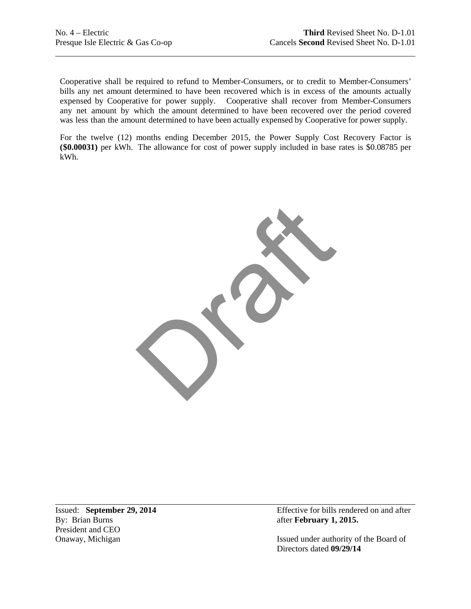Cooperative shall be required to refund to Member-Consumers, or to credit to Member-Consumers' bills any net amount determined to have been recovered which is in excess of the amounts actually expensed by Cooperative for power supply. Cooperative shall recover from Member-Consumers any net amount by which the amount determined to have been recovered over the period covered was less than the amount determined to have been actually expensed by Cooperative for power supply.

 For the twelve (12) months ending December 2015, the Power Supply Cost Recovery Factor is **(\$0.00031)** per kWh. The allowance for cost of power supply included in base rates is \$0.08785 per kWh.



By: Brian Burns **after February 1, 2015.** President and CEO

Issued: **September 29, 2014** Effective for bills rendered on and after

Onaway, Michigan **Issued under authority of the Board of** Directors dated **09/29/14**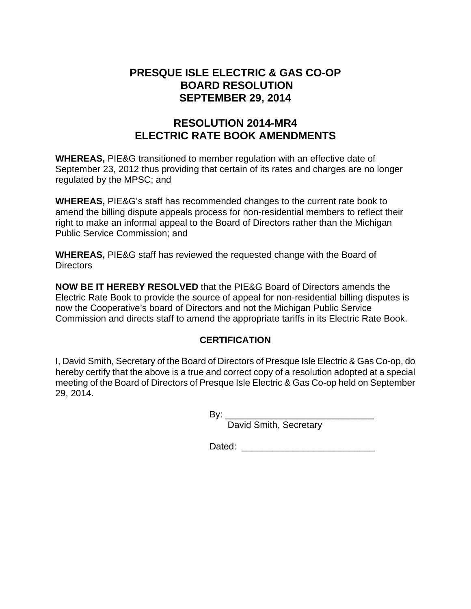# **PRESQUE ISLE ELECTRIC & GAS CO-OP BOARD RESOLUTION SEPTEMBER 29, 2014**

# **RESOLUTION 2014-MR4 ELECTRIC RATE BOOK AMENDMENTS**

**WHEREAS,** PIE&G transitioned to member regulation with an effective date of September 23, 2012 thus providing that certain of its rates and charges are no longer regulated by the MPSC; and

**WHEREAS,** PIE&G's staff has recommended changes to the current rate book to amend the billing dispute appeals process for non-residential members to reflect their right to make an informal appeal to the Board of Directors rather than the Michigan Public Service Commission; and

**WHEREAS,** PIE&G staff has reviewed the requested change with the Board of **Directors** 

**NOW BE IT HEREBY RESOLVED** that the PIE&G Board of Directors amends the Electric Rate Book to provide the source of appeal for non-residential billing disputes is now the Cooperative's board of Directors and not the Michigan Public Service Commission and directs staff to amend the appropriate tariffs in its Electric Rate Book.

### **CERTIFICATION**

I, David Smith, Secretary of the Board of Directors of Presque Isle Electric & Gas Co-op, do hereby certify that the above is a true and correct copy of a resolution adopted at a special meeting of the Board of Directors of Presque Isle Electric & Gas Co-op held on September 29, 2014.

By: \_\_\_\_\_\_\_\_\_\_\_\_\_\_\_\_\_\_\_\_\_\_\_\_\_\_\_\_\_

David Smith, Secretary

Dated: \_\_\_\_\_\_\_\_\_\_\_\_\_\_\_\_\_\_\_\_\_\_\_\_\_\_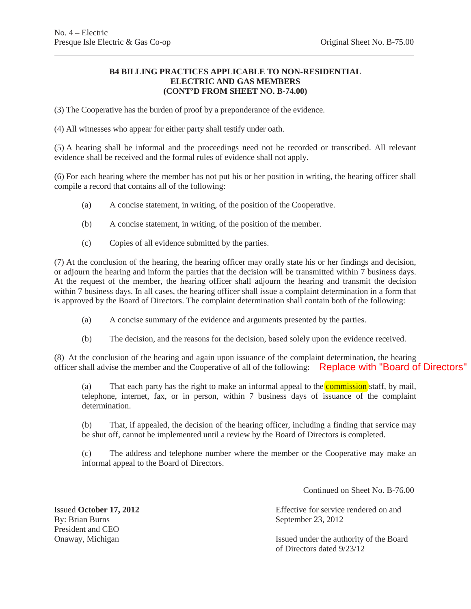#### **B4 BILLING PRACTICES APPLICABLE TO NON-RESIDENTIAL ELECTRIC AND GAS MEMBERS (CONT'D FROM SHEET NO. B-74.00)**

(3) The Cooperative has the burden of proof by a preponderance of the evidence.

(4) All witnesses who appear for either party shall testify under oath.

(5) A hearing shall be informal and the proceedings need not be recorded or transcribed. All relevant evidence shall be received and the formal rules of evidence shall not apply.

(6) For each hearing where the member has not put his or her position in writing, the hearing officer shall compile a record that contains all of the following:

- (a) A concise statement, in writing, of the position of the Cooperative.
- (b) A concise statement, in writing, of the position of the member.
- (c) Copies of all evidence submitted by the parties.

(7) At the conclusion of the hearing, the hearing officer may orally state his or her findings and decision, or adjourn the hearing and inform the parties that the decision will be transmitted within 7 business days. At the request of the member, the hearing officer shall adjourn the hearing and transmit the decision within 7 business days. In all cases, the hearing officer shall issue a complaint determination in a form that is approved by the Board of Directors. The complaint determination shall contain both of the following:

- (a) A concise summary of the evidence and arguments presented by the parties.
- (b) The decision, and the reasons for the decision, based solely upon the evidence received.

(8) At the conclusion of the hearing and again upon issuance of the complaint determination, the hearing officer shall advise the member and the Cooperative of all of the following: Replace with "Board of Directors"

(a) That each party has the right to make an informal appeal to the **commission** staff, by mail, telephone, internet, fax, or in person, within 7 business days of issuance of the complaint determination.

(b) That, if appealed, the decision of the hearing officer, including a finding that service may be shut off, cannot be implemented until a review by the Board of Directors is completed.

(c) The address and telephone number where the member or the Cooperative may make an informal appeal to the Board of Directors.

Continued on Sheet No. B-76.00

By: Brian Burns September 23, 2012 President and CEO

Issued **October 17, 2012** Effective for service rendered on and

Onaway, Michigan Issued under the authority of the Board of Directors dated 9/23/12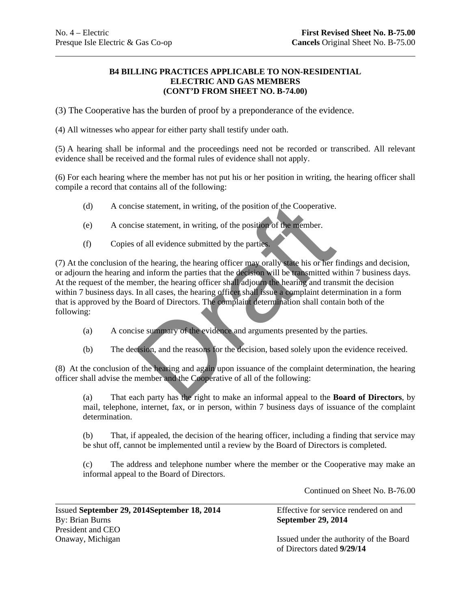#### **B4 BILLING PRACTICES APPLICABLE TO NON-RESIDENTIAL ELECTRIC AND GAS MEMBERS (CONT'D FROM SHEET NO. B-74.00)**

(3) The Cooperative has the burden of proof by a preponderance of the evidence.

(4) All witnesses who appear for either party shall testify under oath.

(5) A hearing shall be informal and the proceedings need not be recorded or transcribed. All relevant evidence shall be received and the formal rules of evidence shall not apply.

(6) For each hearing where the member has not put his or her position in writing, the hearing officer shall compile a record that contains all of the following:

- (d) A concise statement, in writing, of the position of the Cooperative.
- (e) A concise statement, in writing, of the position of the member.
- (f) Copies of all evidence submitted by the parties.

ise statement, in writing, of the position of the Cooperative.<br>
sie statement, in writing, of the position of the member.<br>
of all evidence submitted by the parties.<br>
The hearing, the hearing officer may orally state his or (7) At the conclusion of the hearing, the hearing officer may orally state his or her findings and decision, or adjourn the hearing and inform the parties that the decision will be transmitted within 7 business days. At the request of the member, the hearing officer shall adjourn the hearing and transmit the decision within 7 business days. In all cases, the hearing officer shall issue a complaint determination in a form that is approved by the Board of Directors. The complaint determination shall contain both of the following:

- (a) A concise summary of the evidence and arguments presented by the parties.
- (b) The decision, and the reasons for the decision, based solely upon the evidence received.

(8) At the conclusion of the hearing and again upon issuance of the complaint determination, the hearing officer shall advise the member and the Cooperative of all of the following:

(a) That each party has the right to make an informal appeal to the **Board of Directors**, by mail, telephone, internet, fax, or in person, within 7 business days of issuance of the complaint determination.

(b) That, if appealed, the decision of the hearing officer, including a finding that service may be shut off, cannot be implemented until a review by the Board of Directors is completed.

(c) The address and telephone number where the member or the Cooperative may make an informal appeal to the Board of Directors.

Continued on Sheet No. B-76.00

Onaway, Michigan **Issued under the authority of the Board** Issued **September 29, 2014September 18, 2014** Effective for service rendered on and By: Brian Burns **September 29, 2014**  President and CEO

of Directors dated **9/29/14**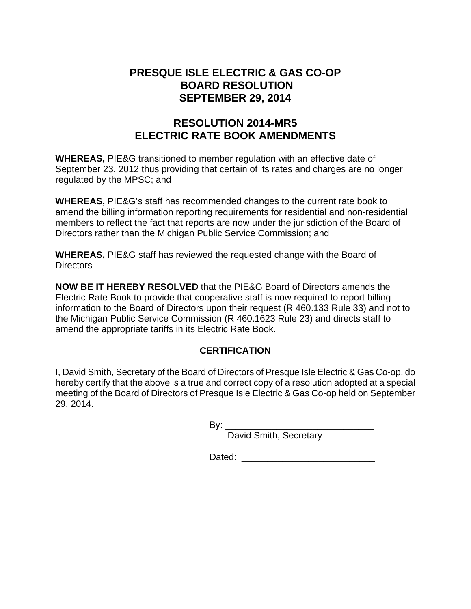# **PRESQUE ISLE ELECTRIC & GAS CO-OP BOARD RESOLUTION SEPTEMBER 29, 2014**

# **RESOLUTION 2014-MR5 ELECTRIC RATE BOOK AMENDMENTS**

**WHEREAS,** PIE&G transitioned to member regulation with an effective date of September 23, 2012 thus providing that certain of its rates and charges are no longer regulated by the MPSC; and

**WHEREAS,** PIE&G's staff has recommended changes to the current rate book to amend the billing information reporting requirements for residential and non-residential members to reflect the fact that reports are now under the jurisdiction of the Board of Directors rather than the Michigan Public Service Commission; and

**WHEREAS,** PIE&G staff has reviewed the requested change with the Board of Directors

**NOW BE IT HEREBY RESOLVED** that the PIE&G Board of Directors amends the Electric Rate Book to provide that cooperative staff is now required to report billing information to the Board of Directors upon their request (R 460.133 Rule 33) and not to the Michigan Public Service Commission (R 460.1623 Rule 23) and directs staff to amend the appropriate tariffs in its Electric Rate Book.

## **CERTIFICATION**

I, David Smith, Secretary of the Board of Directors of Presque Isle Electric & Gas Co-op, do hereby certify that the above is a true and correct copy of a resolution adopted at a special meeting of the Board of Directors of Presque Isle Electric & Gas Co-op held on September 29, 2014.

By: \_\_\_\_\_\_\_\_\_\_\_\_\_\_\_\_\_\_\_\_\_\_\_\_\_\_\_\_\_

David Smith, Secretary

Dated:  $\Box$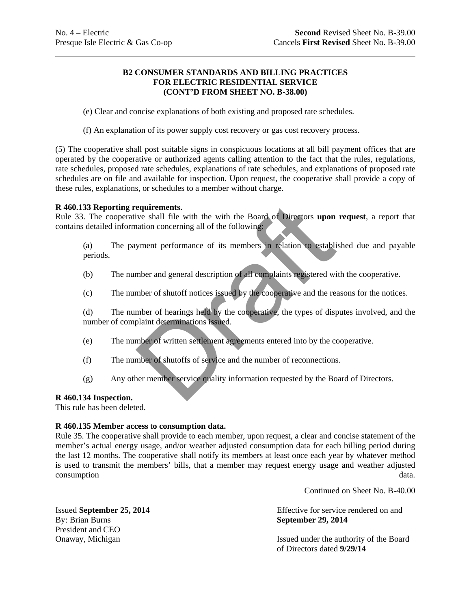#### **B2 CONSUMER STANDARDS AND BILLING PRACTICES FOR ELECTRIC RESIDENTIAL SERVICE (CONT'D FROM SHEET NO. B-38.00)**

(e) Clear and concise explanations of both existing and proposed rate schedules.

(f) An explanation of its power supply cost recovery or gas cost recovery process.

(5) The cooperative shall post suitable signs in conspicuous locations at all bill payment offices that are operated by the cooperative or authorized agents calling attention to the fact that the rules, regulations, rate schedules, proposed rate schedules, explanations of rate schedules, and explanations of proposed rate schedules are on file and available for inspection. Upon request, the cooperative shall provide a copy of these rules, explanations, or schedules to a member without charge.

#### **R 460.133 Reporting requirements.**

Rule 33. The cooperative shall file with the with the Board of Directors **upon request**, a report that contains detailed information concerning all of the following:

(a) The payment performance of its members in relation to established due and payable periods. **Example 19 Example 10** Section 1 and the Board of Directors upon<br>the shall file with the with the Board of Directors upon<br>attion concerning all of the following:<br>yment performance of its members in relation to establi<br>mbe

- (b) The number and general description of all complaints registered with the cooperative.
- (c) The number of shutoff notices issued by the cooperative and the reasons for the notices.

(d) The number of hearings held by the cooperative, the types of disputes involved, and the number of complaint determinations issued.

- (e) The number of written settlement agreements entered into by the cooperative.
- (f) The number of shutoffs of service and the number of reconnections.
- (g) Any other member service quality information requested by the Board of Directors.

#### **R 460.134 Inspection.**

This rule has been deleted.

#### **R 460.135 Member access** t**o consumption data.**

Rule 35. The cooperative shall provide to each member, upon request, a clear and concise statement of the member's actual energy usage, and/or weather adjusted consumption data for each billing period during the last 12 months. The cooperative shall notify its members at least once each year by whatever method is used to transmit the members' bills, that a member may request energy usage and weather adjusted consumption data.

Continued on Sheet No. B-40.00

President and CEO

Issued **September 25, 2014 Effective for service rendered on and By: Brian Burns Property 120.14 Effective for service rendered on and September 29, 2014 September 29, 2014** 

Onaway, Michigan **Issued under the authority of the Board** of Directors dated **9/29/14**